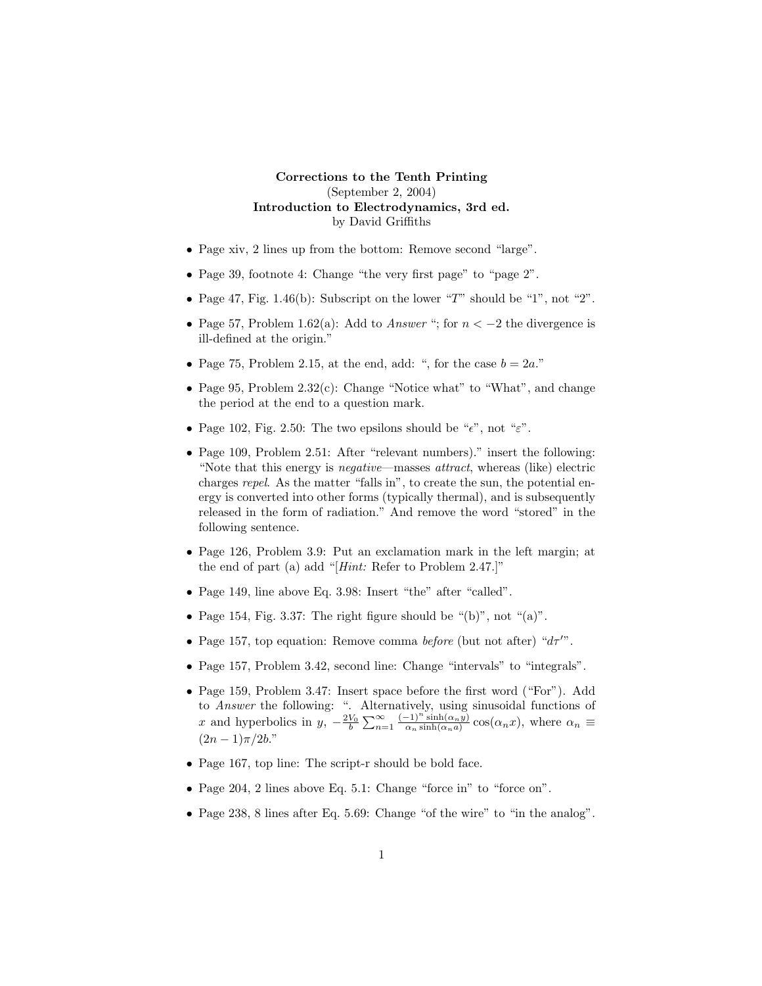## **Corrections to the Tenth Printing** (September 2, 2004) **Introduction to Electrodynamics, 3rd ed.** by David Griffiths

- Page xiv, 2 lines up from the bottom: Remove second "large".
- Page 39, footnote 4: Change "the very first page" to "page 2".
- Page 47, Fig. 1.46(b): Subscript on the lower "*T*" should be "1", not "2".
- Page 57, Problem 1.62(a): Add to Answer "; for *n <* −2 the divergence is ill-defined at the origin."
- Page 75, Problem 2.15, at the end, add: ", for the case  $b = 2a$ ."
- Page 95, Problem  $2.32(c)$ : Change "Notice what" to "What", and change the period at the end to a question mark.
- Page 102, Fig. 2.50: The two epsilons should be " $\epsilon$ ", not " $\epsilon$ ".
- Page 109, Problem 2.51: After "relevant numbers)." insert the following: "Note that this energy is negative—masses attract, whereas (like) electric charges repel. As the matter "falls in", to create the sun, the potential energy is converted into other forms (typically thermal), and is subsequently released in the form of radiation." And remove the word "stored" in the following sentence.
- Page 126, Problem 3.9: Put an exclamation mark in the left margin; at the end of part (a) add "[ $Hint:$  Refer to Problem 2.47.]"
- Page 149, line above Eq. 3.98: Insert "the" after "called".
- Page 154, Fig. 3.37: The right figure should be " $(b)$ ", not " $(a)$ ".
- Page 157, top equation: Remove comma *before* (but not after) " $d\tau$ ".
- Page 157, Problem 3.42, second line: Change "intervals" to "integrals".
- Page 159, Problem 3.47: Insert space before the first word ("For"). Add to Answer the following: ". Alternatively, using sinusoidal functions of *x* and hyperbolics in  $y, -\frac{2V_0}{b} \sum_{n=1}^{\infty} \frac{(-1)^n \sinh(\alpha_n y)}{\alpha_n \sinh(\alpha_n a)} \cos(\alpha_n x)$ , where  $\alpha_n \equiv$  $(2n-1)\pi/2b$ ."
- Page 167, top line: The script-r should be bold face.
- Page 204, 2 lines above Eq. 5.1: Change "force in" to "force on".
- Page 238, 8 lines after Eq. 5.69: Change "of the wire" to "in the analog".